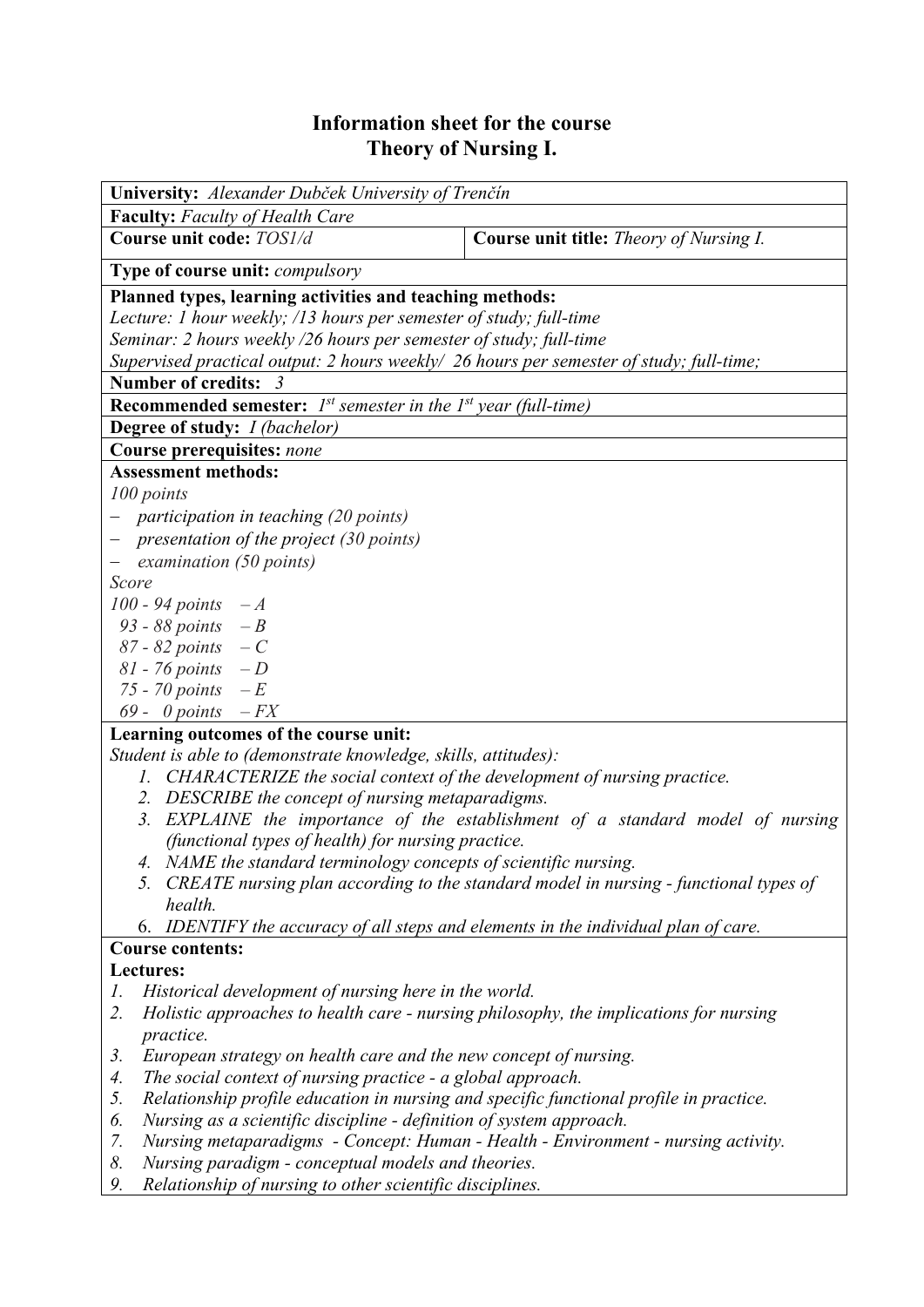## **Information sheet for the course Theory of Nursing I.**

| University: Alexander Dubček University of Trenčín                                           |                                                                                         |  |  |  |  |  |
|----------------------------------------------------------------------------------------------|-----------------------------------------------------------------------------------------|--|--|--|--|--|
| <b>Faculty:</b> Faculty of Health Care                                                       |                                                                                         |  |  |  |  |  |
| Course unit code: TOS1/d                                                                     | Course unit title: Theory of Nursing I.                                                 |  |  |  |  |  |
| Type of course unit: compulsory                                                              |                                                                                         |  |  |  |  |  |
| Planned types, learning activities and teaching methods:                                     |                                                                                         |  |  |  |  |  |
| Lecture: 1 hour weekly; /13 hours per semester of study; full-time                           |                                                                                         |  |  |  |  |  |
| Seminar: 2 hours weekly /26 hours per semester of study; full-time                           |                                                                                         |  |  |  |  |  |
| Supervised practical output: 2 hours weekly/ 26 hours per semester of study; full-time;      |                                                                                         |  |  |  |  |  |
| Number of credits: 3                                                                         |                                                                                         |  |  |  |  |  |
| <b>Recommended semester:</b> $I^{st}$ semester in the $I^{st}$ year (full-time)              |                                                                                         |  |  |  |  |  |
| <b>Degree of study:</b> <i>I (bachelor)</i>                                                  |                                                                                         |  |  |  |  |  |
| <b>Course prerequisites: none</b>                                                            |                                                                                         |  |  |  |  |  |
| <b>Assessment methods:</b>                                                                   |                                                                                         |  |  |  |  |  |
| 100 points                                                                                   |                                                                                         |  |  |  |  |  |
| participation in teaching (20 points)                                                        |                                                                                         |  |  |  |  |  |
| $-$ presentation of the project (30 points)                                                  |                                                                                         |  |  |  |  |  |
| examination (50 points)<br>Score                                                             |                                                                                         |  |  |  |  |  |
| 100 - 94 points $-A$                                                                         |                                                                                         |  |  |  |  |  |
| 93 - 88 points $-B$                                                                          |                                                                                         |  |  |  |  |  |
| $87 - 82$ points $-C$                                                                        |                                                                                         |  |  |  |  |  |
| 81 - 76 points $-D$                                                                          |                                                                                         |  |  |  |  |  |
| 75 - 70 points $-E$                                                                          |                                                                                         |  |  |  |  |  |
| 69 - 0 points $-FX$                                                                          |                                                                                         |  |  |  |  |  |
| Learning outcomes of the course unit:                                                        |                                                                                         |  |  |  |  |  |
| Student is able to (demonstrate knowledge, skills, attitudes):                               |                                                                                         |  |  |  |  |  |
| 1. CHARACTERIZE the social context of the development of nursing practice.                   |                                                                                         |  |  |  |  |  |
| 2. DESCRIBE the concept of nursing metaparadigms.                                            |                                                                                         |  |  |  |  |  |
| 3. EXPLAINE the importance of the establishment of a standard model of nursing               |                                                                                         |  |  |  |  |  |
| (functional types of health) for nursing practice.                                           |                                                                                         |  |  |  |  |  |
| 4. NAME the standard terminology concepts of scientific nursing.                             |                                                                                         |  |  |  |  |  |
| health.                                                                                      | 5. CREATE nursing plan according to the standard model in nursing - functional types of |  |  |  |  |  |
| 6. IDENTIFY the accuracy of all steps and elements in the individual plan of care.           |                                                                                         |  |  |  |  |  |
| <b>Course contents:</b>                                                                      |                                                                                         |  |  |  |  |  |
| Lectures:                                                                                    |                                                                                         |  |  |  |  |  |
| Historical development of nursing here in the world.<br>1.                                   |                                                                                         |  |  |  |  |  |
| 2.<br>Holistic approaches to health care - nursing philosophy, the implications for nursing  |                                                                                         |  |  |  |  |  |
| practice.                                                                                    |                                                                                         |  |  |  |  |  |
| European strategy on health care and the new concept of nursing.<br>3.                       |                                                                                         |  |  |  |  |  |
| The social context of nursing practice - a global approach.<br>4.                            |                                                                                         |  |  |  |  |  |
| Relationship profile education in nursing and specific functional profile in practice.<br>5. |                                                                                         |  |  |  |  |  |
| Nursing as a scientific discipline - definition of system approach.<br>6.                    |                                                                                         |  |  |  |  |  |
| 7.<br>Nursing metaparadigms - Concept: Human - Health - Environment - nursing activity.      |                                                                                         |  |  |  |  |  |
| 8.<br>Nursing paradigm - conceptual models and theories.                                     |                                                                                         |  |  |  |  |  |
| 9.<br>Relationship of nursing to other scientific disciplines.                               |                                                                                         |  |  |  |  |  |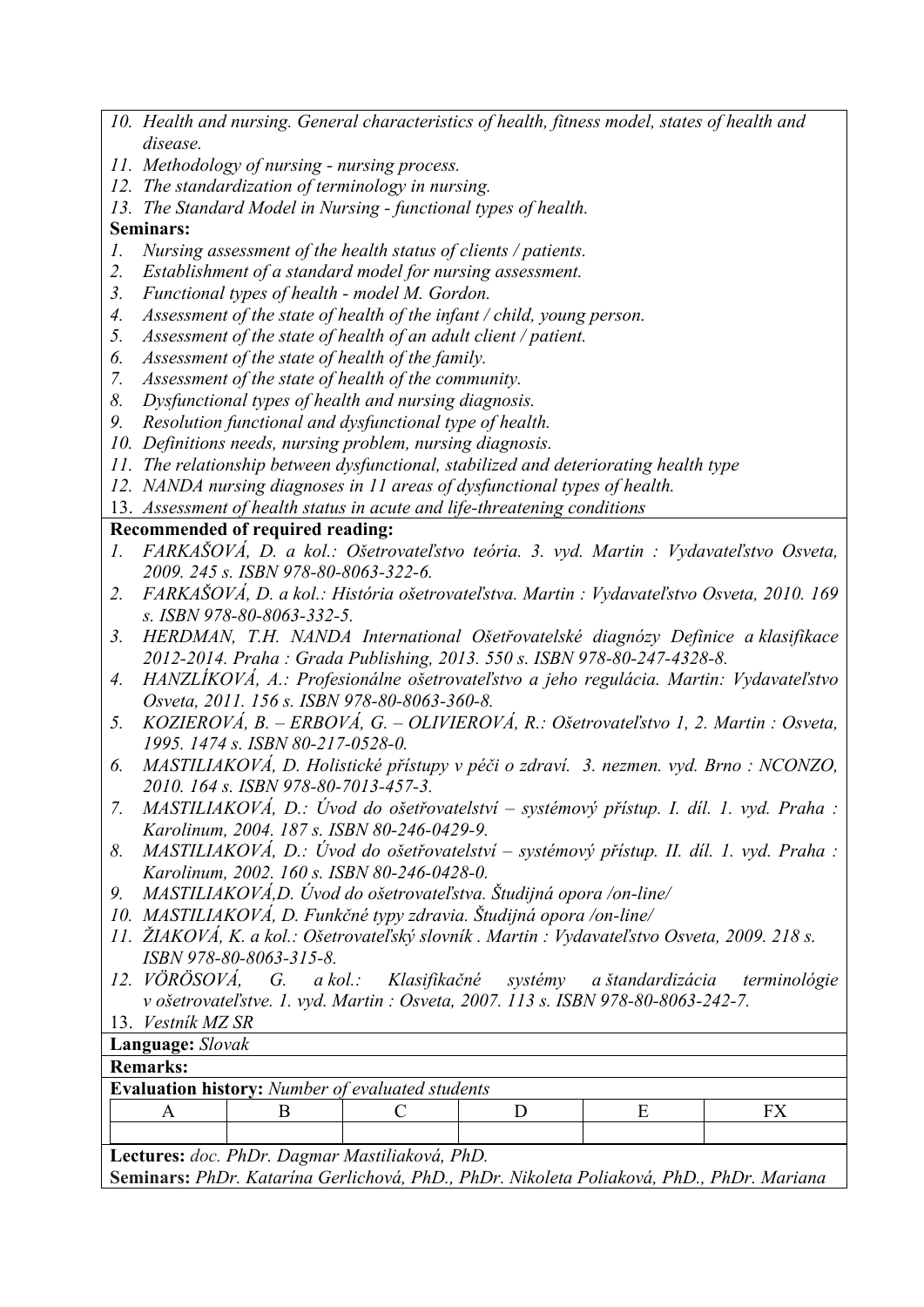- *10. Health and nursing. General characteristics of health, fitness model, states of health and disease.*
- *11. Methodology of nursing nursing process.*
- *12. The standardization of terminology in nursing.*
- *13. The Standard Model in Nursing functional types of health.*

## **Seminars:**

- *1. Nursing assessment of the health status of clients / patients.*
- *2. Establishment of a standard model for nursing assessment.*
- *3. Functional types of health model M. Gordon.*
- *4. Assessment of the state of health of the infant / child, young person.*
- *5. Assessment of the state of health of an adult client / patient.*
- *6. Assessment of the state of health of the family.*
- *7. Assessment of the state of health of the community.*
- *8. Dysfunctional types of health and nursing diagnosis.*
- *9. Resolution functional and dysfunctional type of health.*
- *10. Definitions needs, nursing problem, nursing diagnosis.*
- *11. The relationship between dysfunctional, stabilized and deteriorating health type*
- *12. NANDA nursing diagnoses in 11 areas of dysfunctional types of health.*
- 13. *Assessment of health status in acute and life-threatening conditions*

## **Recommended of required reading:**

- *1. FARKAŠOVÁ, D. a kol.: Ošetrovateľstvo teória. 3. vyd. Martin : Vydavateľstvo Osveta, 2009. 245 s. ISBN 978-80-8063-322-6.*
- *2. FARKAŠOVÁ, D. a kol.: História ošetrovateľstva. Martin : Vydavateľstvo Osveta, 2010. 169 s. ISBN 978-80-8063-332-5.*
- *3. HERDMAN, T.H. NANDA International Ošetřovatelské diagnózy Definice a klasifikace 2012-2014. Praha : Grada Publishing, 2013. 550 s. ISBN 978-80-247-4328-8.*
- *4. HANZLÍKOVÁ, A.: Profesionálne ošetrovateľstvo a jeho regulácia. Martin: Vydavateľstvo Osveta, 2011. 156 s. ISBN 978-80-8063-360-8.*
- *5. KOZIEROVÁ, B. ERBOVÁ, G. OLIVIEROVÁ, R.: Ošetrovateľstvo 1, 2. Martin : Osveta, 1995. 1474 s. ISBN 80-217-0528-0.*
- *6. MASTILIAKOVÁ, D. Holistické přístupy v péči o zdraví. 3. nezmen. vyd. Brno : NCONZO, 2010. 164 s. ISBN 978-80-7013-457-3.*
- *7. MASTILIAKOVÁ, D.: Úvod do ošetřovatelství systémový přístup. I. díl. 1. vyd. Praha : Karolinum, 2004. 187 s. ISBN 80-246-0429-9.*
- *8. MASTILIAKOVÁ, D.: Úvod do ošetřovatelství systémový přístup. II. díl. 1. vyd. Praha : Karolinum, 2002. 160 s. ISBN 80-246-0428-0.*
- *9. MASTILIAKOVÁ,D. Úvod do ošetrovateľstva. Študijná opora /on-line/*
- *10. MASTILIAKOVÁ, D. Funkčné typy zdravia. Študijná opora /on-line/*
- *11. ŽIAKOVÁ, K. a kol.: Ošetrovateľský slovník . Martin : Vydavateľstvo Osveta, 2009. 218 s. ISBN 978-80-8063-315-8.*
- *12. VÖRÖSOVÁ, G. a kol.: Klasifikačné systémy a štandardizácia terminológie v ošetrovateľstve. 1. vyd. Martin : Osveta, 2007. 113 s. ISBN 978-80-8063-242-7.*
- 13. *Vestník MZ SR*

**Language:** *Slovak*

## **Remarks:**

| <b>Evaluation history:</b> Number of evaluated students |  |  |  |  |  |  |  |  |
|---------------------------------------------------------|--|--|--|--|--|--|--|--|
|                                                         |  |  |  |  |  |  |  |  |
|                                                         |  |  |  |  |  |  |  |  |

**Lectures:** *doc. PhDr. Dagmar Mastiliaková, PhD.*

**Seminars:** *PhDr. Katarína Gerlichová, PhD., PhDr. Nikoleta Poliaková, PhD., PhDr. Mariana*